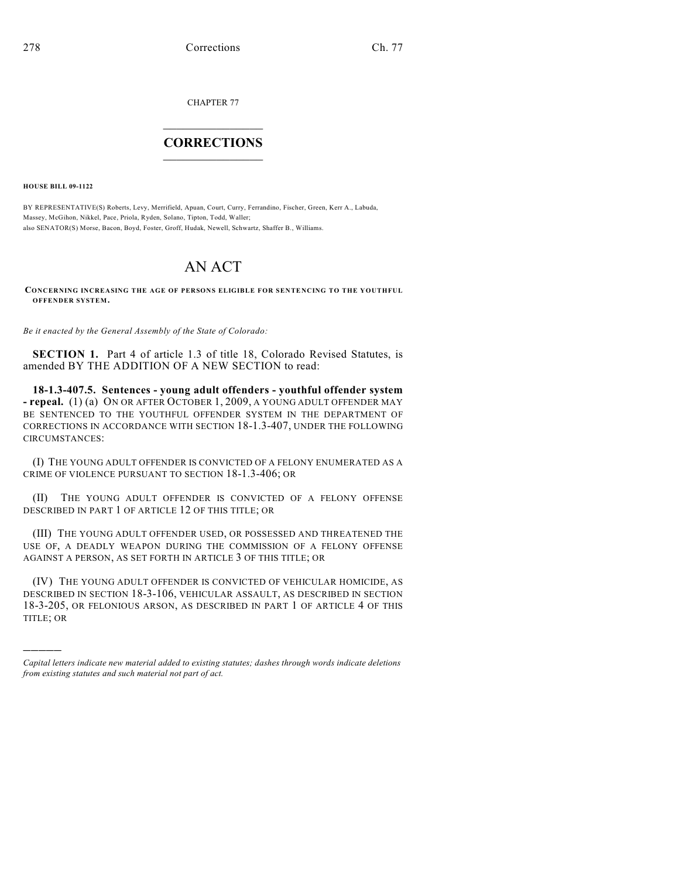CHAPTER 77

## $\mathcal{L}_\text{max}$  . The set of the set of the set of the set of the set of the set of the set of the set of the set of the set of the set of the set of the set of the set of the set of the set of the set of the set of the set **CORRECTIONS**  $\frac{1}{2}$  ,  $\frac{1}{2}$  ,  $\frac{1}{2}$  ,  $\frac{1}{2}$  ,  $\frac{1}{2}$  ,  $\frac{1}{2}$

**HOUSE BILL 09-1122**

)))))

BY REPRESENTATIVE(S) Roberts, Levy, Merrifield, Apuan, Court, Curry, Ferrandino, Fischer, Green, Kerr A., Labuda, Massey, McGihon, Nikkel, Pace, Priola, Ryden, Solano, Tipton, Todd, Waller; also SENATOR(S) Morse, Bacon, Boyd, Foster, Groff, Hudak, Newell, Schwartz, Shaffer B., Williams.

## AN ACT

**CONCERNING INCREASING THE AGE OF PERSONS ELIGIBLE FOR SENTENCING TO THE YOUTHFUL OFFENDER SYSTEM.**

*Be it enacted by the General Assembly of the State of Colorado:*

**SECTION 1.** Part 4 of article 1.3 of title 18, Colorado Revised Statutes, is amended BY THE ADDITION OF A NEW SECTION to read:

**18-1.3-407.5. Sentences - young adult offenders - youthful offender system - repeal.** (1) (a) ON OR AFTER OCTOBER 1, 2009, A YOUNG ADULT OFFENDER MAY BE SENTENCED TO THE YOUTHFUL OFFENDER SYSTEM IN THE DEPARTMENT OF CORRECTIONS IN ACCORDANCE WITH SECTION 18-1.3-407, UNDER THE FOLLOWING CIRCUMSTANCES:

(I) THE YOUNG ADULT OFFENDER IS CONVICTED OF A FELONY ENUMERATED AS A CRIME OF VIOLENCE PURSUANT TO SECTION 18-1.3-406; OR

(II) THE YOUNG ADULT OFFENDER IS CONVICTED OF A FELONY OFFENSE DESCRIBED IN PART 1 OF ARTICLE 12 OF THIS TITLE; OR

(III) THE YOUNG ADULT OFFENDER USED, OR POSSESSED AND THREATENED THE USE OF, A DEADLY WEAPON DURING THE COMMISSION OF A FELONY OFFENSE AGAINST A PERSON, AS SET FORTH IN ARTICLE 3 OF THIS TITLE; OR

(IV) THE YOUNG ADULT OFFENDER IS CONVICTED OF VEHICULAR HOMICIDE, AS DESCRIBED IN SECTION 18-3-106, VEHICULAR ASSAULT, AS DESCRIBED IN SECTION 18-3-205, OR FELONIOUS ARSON, AS DESCRIBED IN PART 1 OF ARTICLE 4 OF THIS TITLE; OR

*Capital letters indicate new material added to existing statutes; dashes through words indicate deletions from existing statutes and such material not part of act.*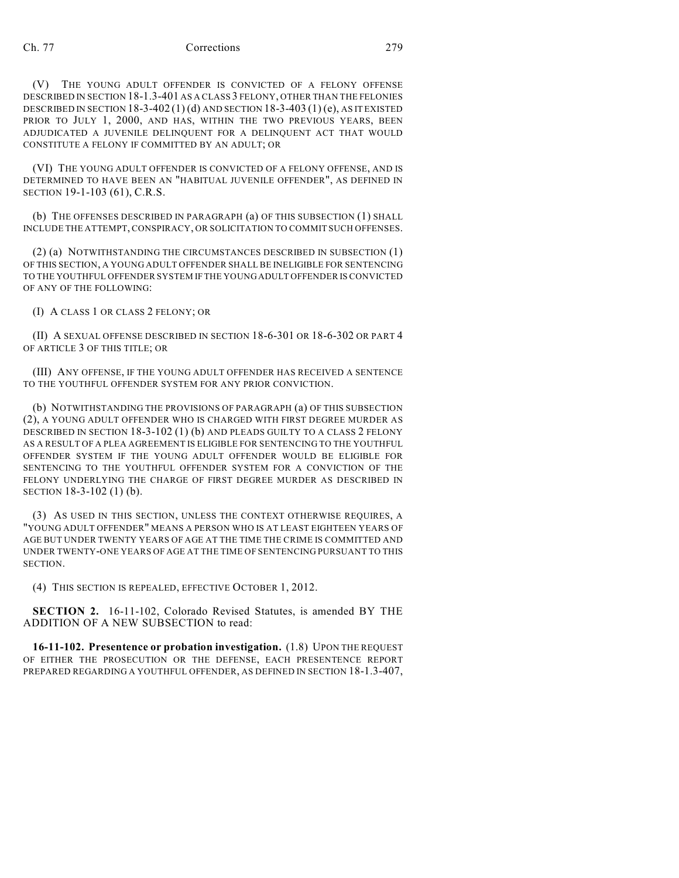(V) THE YOUNG ADULT OFFENDER IS CONVICTED OF A FELONY OFFENSE DESCRIBED IN SECTION 18-1.3-401 AS A CLASS 3 FELONY, OTHER THAN THE FELONIES DESCRIBED IN SECTION 18-3-402(1)(d) AND SECTION 18-3-403(1)(e), AS IT EXISTED PRIOR TO JULY 1, 2000, AND HAS, WITHIN THE TWO PREVIOUS YEARS, BEEN ADJUDICATED A JUVENILE DELINQUENT FOR A DELINQUENT ACT THAT WOULD CONSTITUTE A FELONY IF COMMITTED BY AN ADULT; OR

(VI) THE YOUNG ADULT OFFENDER IS CONVICTED OF A FELONY OFFENSE, AND IS DETERMINED TO HAVE BEEN AN "HABITUAL JUVENILE OFFENDER", AS DEFINED IN SECTION 19-1-103 (61), C.R.S.

(b) THE OFFENSES DESCRIBED IN PARAGRAPH (a) OF THIS SUBSECTION (1) SHALL INCLUDE THE ATTEMPT, CONSPIRACY, OR SOLICITATION TO COMMIT SUCH OFFENSES.

(2) (a) NOTWITHSTANDING THE CIRCUMSTANCES DESCRIBED IN SUBSECTION (1) OF THIS SECTION, A YOUNG ADULT OFFENDER SHALL BE INELIGIBLE FOR SENTENCING TO THE YOUTHFUL OFFENDER SYSTEM IF THE YOUNG ADULT OFFENDER IS CONVICTED OF ANY OF THE FOLLOWING:

(I) A CLASS 1 OR CLASS 2 FELONY; OR

(II) A SEXUAL OFFENSE DESCRIBED IN SECTION 18-6-301 OR 18-6-302 OR PART 4 OF ARTICLE 3 OF THIS TITLE; OR

(III) ANY OFFENSE, IF THE YOUNG ADULT OFFENDER HAS RECEIVED A SENTENCE TO THE YOUTHFUL OFFENDER SYSTEM FOR ANY PRIOR CONVICTION.

(b) NOTWITHSTANDING THE PROVISIONS OF PARAGRAPH (a) OF THIS SUBSECTION (2), A YOUNG ADULT OFFENDER WHO IS CHARGED WITH FIRST DEGREE MURDER AS DESCRIBED IN SECTION 18-3-102 (1) (b) AND PLEADS GUILTY TO A CLASS 2 FELONY AS A RESULT OF A PLEA AGREEMENT IS ELIGIBLE FOR SENTENCING TO THE YOUTHFUL OFFENDER SYSTEM IF THE YOUNG ADULT OFFENDER WOULD BE ELIGIBLE FOR SENTENCING TO THE YOUTHFUL OFFENDER SYSTEM FOR A CONVICTION OF THE FELONY UNDERLYING THE CHARGE OF FIRST DEGREE MURDER AS DESCRIBED IN SECTION 18-3-102 (1) (b).

(3) AS USED IN THIS SECTION, UNLESS THE CONTEXT OTHERWISE REQUIRES, A "YOUNG ADULT OFFENDER" MEANS A PERSON WHO IS AT LEAST EIGHTEEN YEARS OF AGE BUT UNDER TWENTY YEARS OF AGE AT THE TIME THE CRIME IS COMMITTED AND UNDER TWENTY-ONE YEARS OF AGE AT THE TIME OF SENTENCING PURSUANT TO THIS SECTION.

(4) THIS SECTION IS REPEALED, EFFECTIVE OCTOBER 1, 2012.

**SECTION 2.** 16-11-102, Colorado Revised Statutes, is amended BY THE ADDITION OF A NEW SUBSECTION to read:

**16-11-102. Presentence or probation investigation.** (1.8) UPON THE REQUEST OF EITHER THE PROSECUTION OR THE DEFENSE, EACH PRESENTENCE REPORT PREPARED REGARDING A YOUTHFUL OFFENDER, AS DEFINED IN SECTION 18-1.3-407,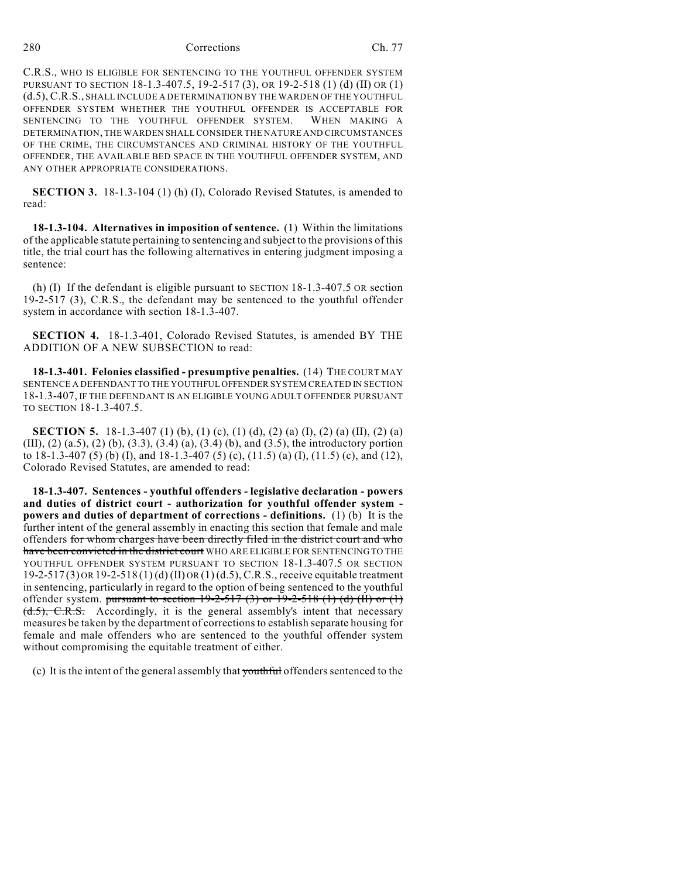280 Corrections Ch. 77

C.R.S., WHO IS ELIGIBLE FOR SENTENCING TO THE YOUTHFUL OFFENDER SYSTEM PURSUANT TO SECTION 18-1.3-407.5, 19-2-517 (3), OR 19-2-518 (1) (d) (II) OR (1) (d.5), C.R.S., SHALL INCLUDE A DETERMINATION BY THE WARDEN OF THE YOUTHFUL OFFENDER SYSTEM WHETHER THE YOUTHFUL OFFENDER IS ACCEPTABLE FOR SENTENCING TO THE YOUTHFUL OFFENDER SYSTEM. WHEN MAKING A DETERMINATION, THE WARDEN SHALL CONSIDER THE NATURE AND CIRCUMSTANCES OF THE CRIME, THE CIRCUMSTANCES AND CRIMINAL HISTORY OF THE YOUTHFUL OFFENDER, THE AVAILABLE BED SPACE IN THE YOUTHFUL OFFENDER SYSTEM, AND ANY OTHER APPROPRIATE CONSIDERATIONS.

**SECTION 3.** 18-1.3-104 (1) (h) (I), Colorado Revised Statutes, is amended to read:

**18-1.3-104. Alternatives in imposition of sentence.** (1) Within the limitations of the applicable statute pertaining to sentencing and subject to the provisions of this title, the trial court has the following alternatives in entering judgment imposing a sentence:

(h) (I) If the defendant is eligible pursuant to SECTION 18-1.3-407.5 OR section 19-2-517 (3), C.R.S., the defendant may be sentenced to the youthful offender system in accordance with section 18-1.3-407.

**SECTION 4.** 18-1.3-401, Colorado Revised Statutes, is amended BY THE ADDITION OF A NEW SUBSECTION to read:

**18-1.3-401. Felonies classified - presumptive penalties.** (14) THE COURT MAY SENTENCE A DEFENDANT TO THE YOUTHFUL OFFENDER SYSTEM CREATED IN SECTION 18-1.3-407, IF THE DEFENDANT IS AN ELIGIBLE YOUNG ADULT OFFENDER PURSUANT TO SECTION 18-1.3-407.5.

**SECTION 5.** 18-1.3-407 (1) (b), (1) (c), (1) (d), (2) (a) (I), (2) (a) (II), (2) (a) (III), (2) (a.5), (2) (b), (3.3), (3.4) (a), (3.4) (b), and (3.5), the introductory portion to 18-1.3-407 (5) (b) (I), and 18-1.3-407 (5) (c), (11.5) (a) (I), (11.5) (c), and (12), Colorado Revised Statutes, are amended to read:

**18-1.3-407. Sentences - youthful offenders - legislative declaration - powers and duties of district court - authorization for youthful offender system powers and duties of department of corrections - definitions.** (1) (b) It is the further intent of the general assembly in enacting this section that female and male offenders for whom charges have been directly filed in the district court and who have been convicted in the district court WHO ARE ELIGIBLE FOR SENTENCING TO THE YOUTHFUL OFFENDER SYSTEM PURSUANT TO SECTION 18-1.3-407.5 OR SECTION 19-2-517 (3) OR 19-2-518 (1) (d) (II) OR (1) (d.5), C.R.S., receive equitable treatment in sentencing, particularly in regard to the option of being sentenced to the youthful offender system. pursuant to section  $19-2-517$  (3) or  $19-2-518$  (1) (d) (II) or (1)  $(\text{d.5})$ , C.R.S. Accordingly, it is the general assembly's intent that necessary measures be taken by the department of corrections to establish separate housing for female and male offenders who are sentenced to the youthful offender system without compromising the equitable treatment of either.

(c) It is the intent of the general assembly that youthful offenders sentenced to the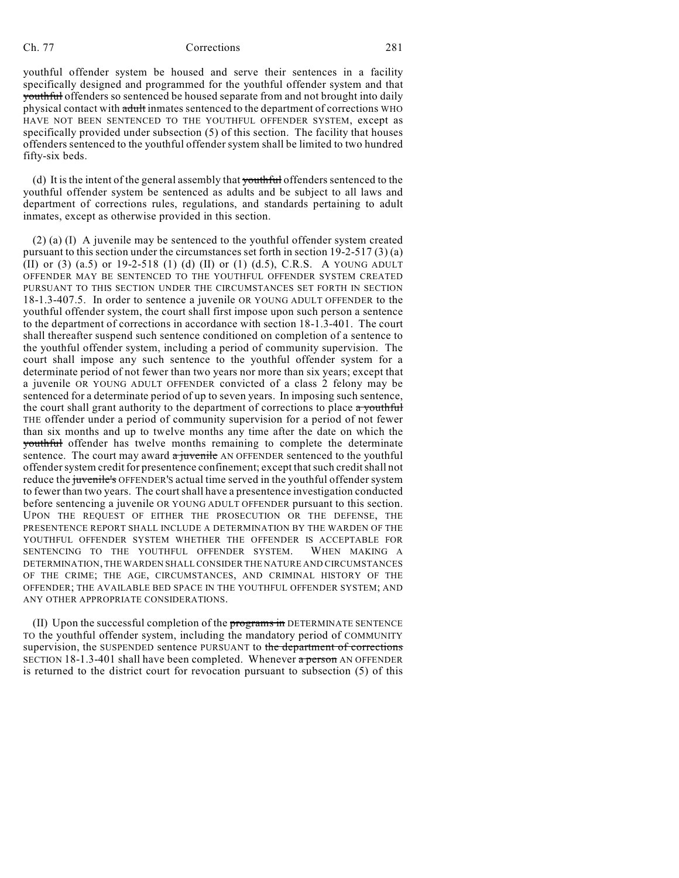## Ch. 77 Corrections 281

youthful offender system be housed and serve their sentences in a facility specifically designed and programmed for the youthful offender system and that youthful offenders so sentenced be housed separate from and not brought into daily physical contact with adult inmates sentenced to the department of corrections WHO HAVE NOT BEEN SENTENCED TO THE YOUTHFUL OFFENDER SYSTEM, except as specifically provided under subsection (5) of this section. The facility that houses offenders sentenced to the youthful offender system shall be limited to two hundred fifty-six beds.

(d) It is the intent of the general assembly that youthful offenders sentenced to the youthful offender system be sentenced as adults and be subject to all laws and department of corrections rules, regulations, and standards pertaining to adult inmates, except as otherwise provided in this section.

(2) (a) (I) A juvenile may be sentenced to the youthful offender system created pursuant to this section under the circumstances set forth in section 19-2-517 (3) (a) (II) or (3) (a.5) or 19-2-518 (1) (d) (II) or (1) (d.5), C.R.S. A YOUNG ADULT OFFENDER MAY BE SENTENCED TO THE YOUTHFUL OFFENDER SYSTEM CREATED PURSUANT TO THIS SECTION UNDER THE CIRCUMSTANCES SET FORTH IN SECTION 18-1.3-407.5. In order to sentence a juvenile OR YOUNG ADULT OFFENDER to the youthful offender system, the court shall first impose upon such person a sentence to the department of corrections in accordance with section 18-1.3-401. The court shall thereafter suspend such sentence conditioned on completion of a sentence to the youthful offender system, including a period of community supervision. The court shall impose any such sentence to the youthful offender system for a determinate period of not fewer than two years nor more than six years; except that a juvenile OR YOUNG ADULT OFFENDER convicted of a class 2 felony may be sentenced for a determinate period of up to seven years. In imposing such sentence, the court shall grant authority to the department of corrections to place a youthful THE offender under a period of community supervision for a period of not fewer than six months and up to twelve months any time after the date on which the youthful offender has twelve months remaining to complete the determinate sentence. The court may award  $\frac{a}{y}$  juvenile AN OFFENDER sentenced to the youthful offender system credit for presentence confinement; except that such credit shall not reduce the juvenile's OFFENDER's actual time served in the youthful offender system to fewer than two years. The court shall have a presentence investigation conducted before sentencing a juvenile OR YOUNG ADULT OFFENDER pursuant to this section. UPON THE REQUEST OF EITHER THE PROSECUTION OR THE DEFENSE, THE PRESENTENCE REPORT SHALL INCLUDE A DETERMINATION BY THE WARDEN OF THE YOUTHFUL OFFENDER SYSTEM WHETHER THE OFFENDER IS ACCEPTABLE FOR SENTENCING TO THE YOUTHFUL OFFENDER SYSTEM. WHEN MAKING A DETERMINATION, THE WARDEN SHALL CONSIDER THE NATURE AND CIRCUMSTANCES OF THE CRIME; THE AGE, CIRCUMSTANCES, AND CRIMINAL HISTORY OF THE OFFENDER; THE AVAILABLE BED SPACE IN THE YOUTHFUL OFFENDER SYSTEM; AND ANY OTHER APPROPRIATE CONSIDERATIONS.

(II) Upon the successful completion of the programs in DETERMINATE SENTENCE TO the youthful offender system, including the mandatory period of COMMUNITY supervision, the SUSPENDED sentence PURSUANT to the department of corrections SECTION 18-1.3-401 shall have been completed. Whenever  $\alpha$  person AN OFFENDER is returned to the district court for revocation pursuant to subsection (5) of this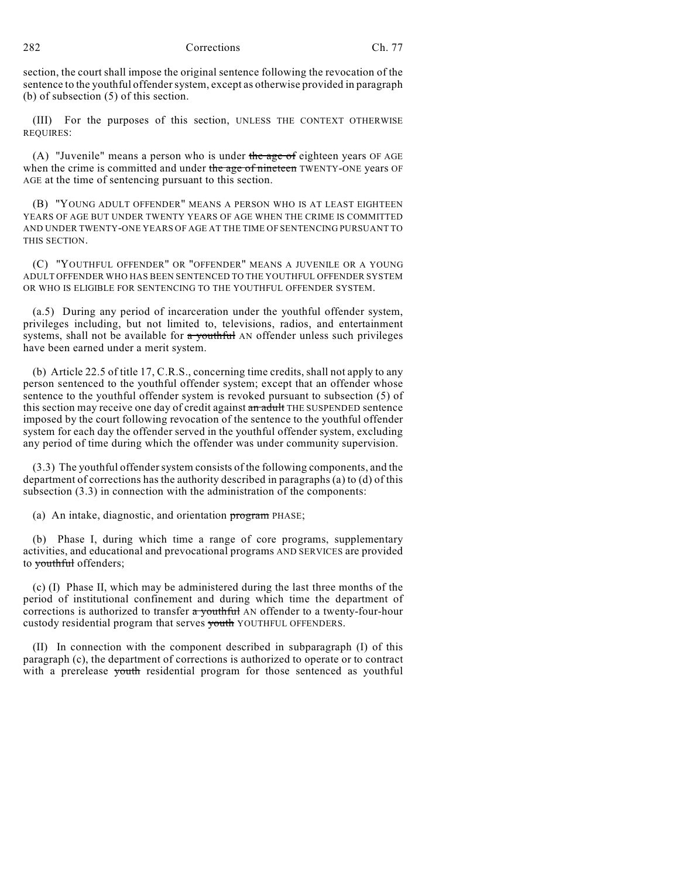282 Corrections Ch. 77

section, the court shall impose the original sentence following the revocation of the sentence to the youthful offender system, except as otherwise provided in paragraph (b) of subsection (5) of this section.

(III) For the purposes of this section, UNLESS THE CONTEXT OTHERWISE REQUIRES:

(A) "Juvenile" means a person who is under the age of eighteen years OF AGE when the crime is committed and under the age of nineteen TWENTY-ONE years OF AGE at the time of sentencing pursuant to this section.

(B) "YOUNG ADULT OFFENDER" MEANS A PERSON WHO IS AT LEAST EIGHTEEN YEARS OF AGE BUT UNDER TWENTY YEARS OF AGE WHEN THE CRIME IS COMMITTED AND UNDER TWENTY-ONE YEARS OF AGE AT THE TIME OF SENTENCING PURSUANT TO THIS SECTION.

(C) "YOUTHFUL OFFENDER" OR "OFFENDER" MEANS A JUVENILE OR A YOUNG ADULT OFFENDER WHO HAS BEEN SENTENCED TO THE YOUTHFUL OFFENDER SYSTEM OR WHO IS ELIGIBLE FOR SENTENCING TO THE YOUTHFUL OFFENDER SYSTEM.

(a.5) During any period of incarceration under the youthful offender system, privileges including, but not limited to, televisions, radios, and entertainment systems, shall not be available for a youthful AN offender unless such privileges have been earned under a merit system.

(b) Article 22.5 of title 17, C.R.S., concerning time credits, shall not apply to any person sentenced to the youthful offender system; except that an offender whose sentence to the youthful offender system is revoked pursuant to subsection (5) of this section may receive one day of credit against an adult THE SUSPENDED sentence imposed by the court following revocation of the sentence to the youthful offender system for each day the offender served in the youthful offender system, excluding any period of time during which the offender was under community supervision.

(3.3) The youthful offender system consists of the following components, and the department of corrections has the authority described in paragraphs (a) to (d) of this subsection (3.3) in connection with the administration of the components:

(a) An intake, diagnostic, and orientation program PHASE;

(b) Phase I, during which time a range of core programs, supplementary activities, and educational and prevocational programs AND SERVICES are provided to vouthful offenders;

(c) (I) Phase II, which may be administered during the last three months of the period of institutional confinement and during which time the department of corrections is authorized to transfer a vouthful AN offender to a twenty-four-hour custody residential program that serves youth YOUTHFUL OFFENDERS.

(II) In connection with the component described in subparagraph (I) of this paragraph (c), the department of corrections is authorized to operate or to contract with a prerelease youth residential program for those sentenced as youthful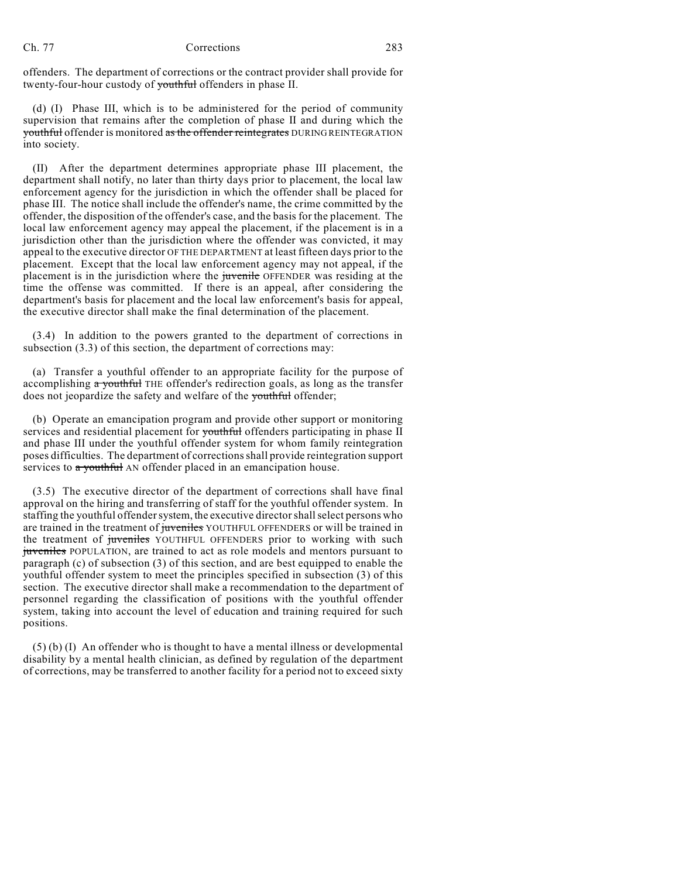offenders. The department of corrections or the contract provider shall provide for twenty-four-hour custody of youthful offenders in phase II.

(d) (I) Phase III, which is to be administered for the period of community supervision that remains after the completion of phase II and during which the youthful offender is monitored as the offender reintegrates DURING REINTEGRATION into society.

(II) After the department determines appropriate phase III placement, the department shall notify, no later than thirty days prior to placement, the local law enforcement agency for the jurisdiction in which the offender shall be placed for phase III. The notice shall include the offender's name, the crime committed by the offender, the disposition of the offender's case, and the basis for the placement. The local law enforcement agency may appeal the placement, if the placement is in a jurisdiction other than the jurisdiction where the offender was convicted, it may appeal to the executive director OF THE DEPARTMENT at least fifteen days prior to the placement. Except that the local law enforcement agency may not appeal, if the placement is in the jurisdiction where the juvenile OFFENDER was residing at the time the offense was committed. If there is an appeal, after considering the department's basis for placement and the local law enforcement's basis for appeal, the executive director shall make the final determination of the placement.

(3.4) In addition to the powers granted to the department of corrections in subsection  $(3.3)$  of this section, the department of corrections may:

(a) Transfer a youthful offender to an appropriate facility for the purpose of accomplishing a youthful THE offender's redirection goals, as long as the transfer does not jeopardize the safety and welfare of the youthful offender;

(b) Operate an emancipation program and provide other support or monitoring services and residential placement for youthful offenders participating in phase II and phase III under the youthful offender system for whom family reintegration poses difficulties. The department of corrections shall provide reintegration support services to a youthful AN offender placed in an emancipation house.

(3.5) The executive director of the department of corrections shall have final approval on the hiring and transferring of staff for the youthful offender system. In staffing the youthful offender system, the executive director shall select persons who are trained in the treatment of juveniles YOUTHFUL OFFENDERS or will be trained in the treatment of juveniles YOUTHFUL OFFENDERS prior to working with such juveniles POPULATION, are trained to act as role models and mentors pursuant to paragraph (c) of subsection (3) of this section, and are best equipped to enable the youthful offender system to meet the principles specified in subsection (3) of this section. The executive director shall make a recommendation to the department of personnel regarding the classification of positions with the youthful offender system, taking into account the level of education and training required for such positions.

(5) (b) (I) An offender who is thought to have a mental illness or developmental disability by a mental health clinician, as defined by regulation of the department of corrections, may be transferred to another facility for a period not to exceed sixty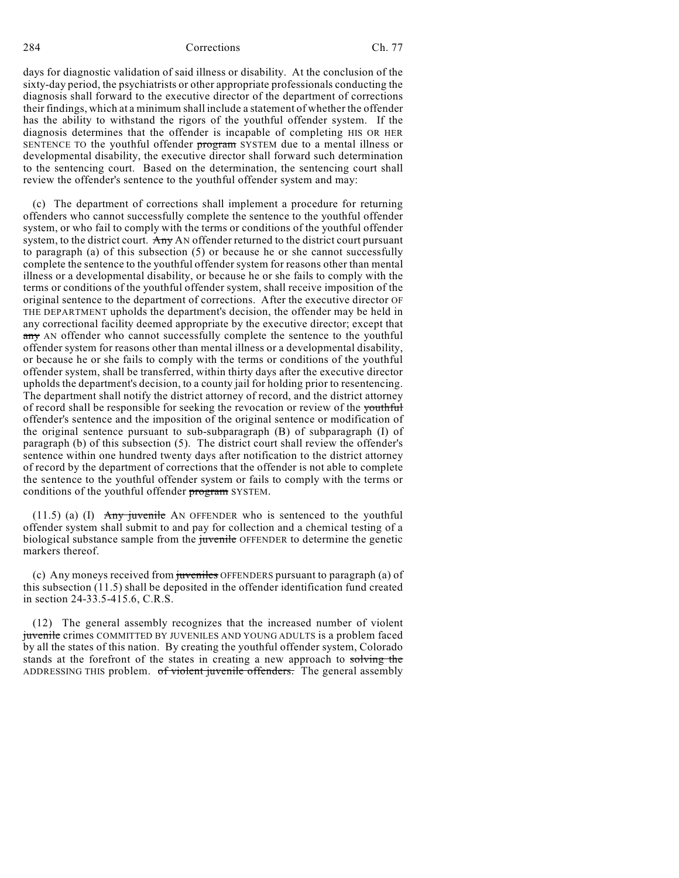284 Corrections Ch. 77

days for diagnostic validation of said illness or disability. At the conclusion of the sixty-day period, the psychiatrists or other appropriate professionals conducting the diagnosis shall forward to the executive director of the department of corrections their findings, which at a minimum shall include a statement of whether the offender has the ability to withstand the rigors of the youthful offender system. If the diagnosis determines that the offender is incapable of completing HIS OR HER SENTENCE TO the youthful offender program SYSTEM due to a mental illness or developmental disability, the executive director shall forward such determination to the sentencing court. Based on the determination, the sentencing court shall review the offender's sentence to the youthful offender system and may:

(c) The department of corrections shall implement a procedure for returning offenders who cannot successfully complete the sentence to the youthful offender system, or who fail to comply with the terms or conditions of the youthful offender system, to the district court. Any AN offender returned to the district court pursuant to paragraph (a) of this subsection (5) or because he or she cannot successfully complete the sentence to the youthful offender system for reasons other than mental illness or a developmental disability, or because he or she fails to comply with the terms or conditions of the youthful offender system, shall receive imposition of the original sentence to the department of corrections. After the executive director OF THE DEPARTMENT upholds the department's decision, the offender may be held in any correctional facility deemed appropriate by the executive director; except that any AN offender who cannot successfully complete the sentence to the youthful offender system for reasons other than mental illness or a developmental disability, or because he or she fails to comply with the terms or conditions of the youthful offender system, shall be transferred, within thirty days after the executive director upholds the department's decision, to a county jail for holding prior to resentencing. The department shall notify the district attorney of record, and the district attorney of record shall be responsible for seeking the revocation or review of the youthful offender's sentence and the imposition of the original sentence or modification of the original sentence pursuant to sub-subparagraph (B) of subparagraph (I) of paragraph (b) of this subsection (5). The district court shall review the offender's sentence within one hundred twenty days after notification to the district attorney of record by the department of corrections that the offender is not able to complete the sentence to the youthful offender system or fails to comply with the terms or conditions of the youthful offender program SYSTEM.

(11.5) (a) (I) Any juvenile AN OFFENDER who is sentenced to the youthful offender system shall submit to and pay for collection and a chemical testing of a biological substance sample from the juvenile OFFENDER to determine the genetic markers thereof.

(c) Any moneys received from juveniles OFFENDERS pursuant to paragraph (a) of this subsection (11.5) shall be deposited in the offender identification fund created in section 24-33.5-415.6, C.R.S.

(12) The general assembly recognizes that the increased number of violent juvenile crimes COMMITTED BY JUVENILES AND YOUNG ADULTS is a problem faced by all the states of this nation. By creating the youthful offender system, Colorado stands at the forefront of the states in creating a new approach to solving the ADDRESSING THIS problem. of violent juvenile offenders. The general assembly